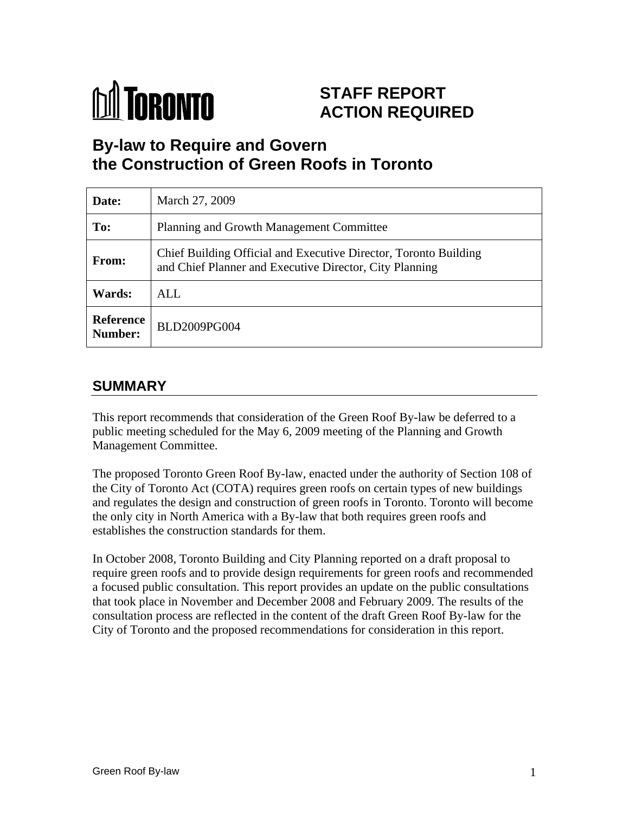

# **STAFF REPORT ACTION REQUIRED**

# **By-law to Require and Govern the Construction of Green Roofs in Toronto**

| Date:         | March 27, 2009                                                                                                              |
|---------------|-----------------------------------------------------------------------------------------------------------------------------|
| To:           | Planning and Growth Management Committee                                                                                    |
| From:         | Chief Building Official and Executive Director, Toronto Building<br>and Chief Planner and Executive Director, City Planning |
| <b>Wards:</b> | ALL                                                                                                                         |
| Number:       | Reference   BLD2009PG004                                                                                                    |

# **SUMMARY**

This report recommends that consideration of the Green Roof By-law be deferred to a public meeting scheduled for the May 6, 2009 meeting of the Planning and Growth

Management Committee.<br>The proposed Toronto Green Roof By-law, enacted under the authority of Section 108 of the City of Toronto Act (COTA) requires green roofs on certain types of new buildings and regulates the design and construction of green roofs in Toronto. Toronto will become the only city in North America with a By-law that both requires green roofs and establishes the construction standards for them.

In October 2008, Toronto Building and City Planning reported on a draft proposal to require green roofs and to provide design requirements for green roofs and recommended a focused public consultation. This report provides an update on the public consultations that took place in November and December 2008 and February 2009. The results of the consultation process are reflected in the content of the draft Green Roof By-law for the City of Toronto and the proposed recommendations for consideration in this report.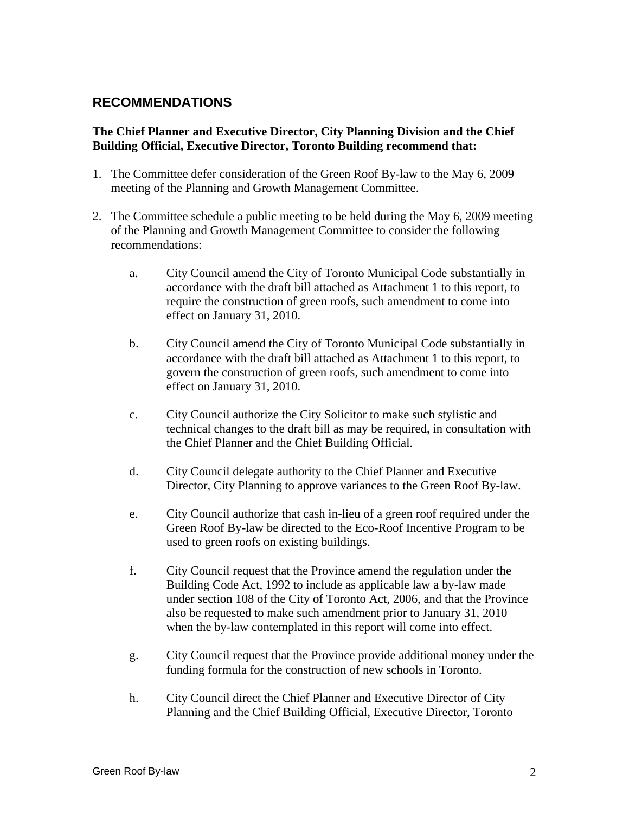### **RECOMMENDATIONS**

### **The Chief Planner and Executive Director, City Planning Division and the Chief Building Official, Executive Director, Toronto Building recommend that:**

- 1. The Committee defer consideration of the Green Roof By-law to the May 6, 2009 meeting of the Planning and Growth Management Committee.
- 2. The Committee schedule a public meeting to be held during the May 6, 2009 meeting of the Planning and Growth Management Committee to consider the following recommendations:
	- a. City Council amend the City of Toronto Municipal Code substantially in accordance with the draft bill attached as Attachment 1 to this report, to require the construction of green roofs, such amendment to come into effect on January 31, 2010.
	- b. City Council amend the City of Toronto Municipal Code substantially in accordance with the draft bill attached as Attachment 1 to this report, to govern the construction of green roofs, such amendment to come into effect on January 31, 2010.
	- c. City Council authorize the City Solicitor to make such stylistic and technical changes to the draft bill as may be required, in consultation with the Chief Planner and the Chief Building Official.
	- d. City Council delegate authority to the Chief Planner and Executive Director, City Planning to approve variances to the Green Roof By-law.
	- e. City Council authorize that cash in-lieu of a green roof required under the Green Roof By-law be directed to the Eco-Roof Incentive Program to be used to green roofs on existing buildings.
	- f. City Council request that the Province amend the regulation under the Building Code Act, 1992 to include as applicable law a by-law made under section 108 of the City of Toronto Act, 2006, and that the Province also be requested to make such amendment prior to January 31, 2010 when the by-law contemplated in this report will come into effect.
	- g. City Council request that the Province provide additional money under the funding formula for the construction of new schools in Toronto.
	- h. City Council direct the Chief Planner and Executive Director of City Planning and the Chief Building Official, Executive Director, Toronto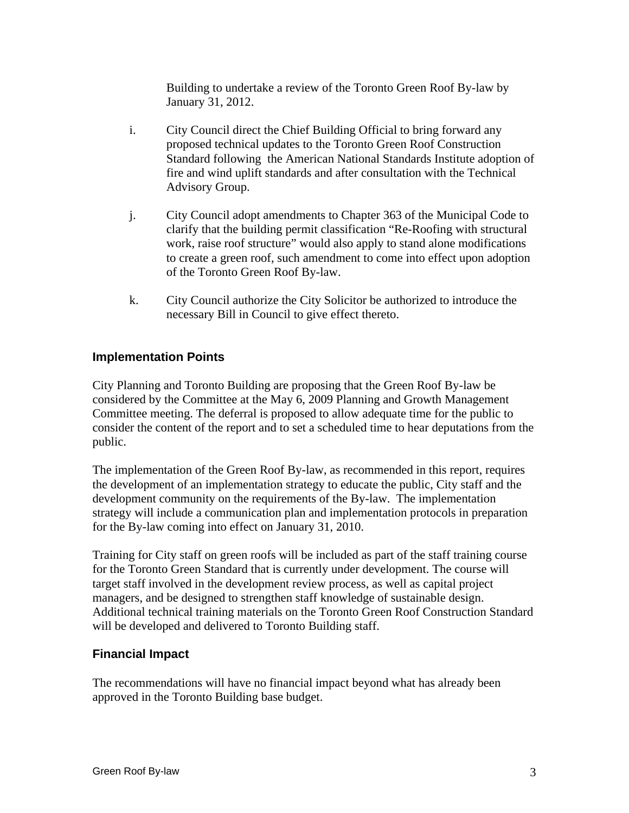Building to undertake a review of the Toronto Green Roof By-law by January 31, 2012.

- i. City Council direct the Chief Building Official to bring forward any proposed technical updates to the Toronto Green Roof Construction Standard following the American National Standards Institute adoption of fire and wind uplift standards and after consultation with the Technical Advisory Group.
- j. City Council adopt amendments to Chapter 363 of the Municipal Code to clarify that the building permit classification "Re-Roofing with structural work, raise roof structure" would also apply to stand alone modifications to create a green roof, such amendment to come into effect upon adoption of the Toronto Green Roof By-law.
- k. City Council authorize the City Solicitor be authorized to introduce the necessary Bill in Council to give effect thereto.

### **Implementation Points**

City Planning and Toronto Building are proposing that the Green Roof By-law be considered by the Committee at the May 6, 2009 Planning and Growth Management Committee meeting. The deferral is proposed to allow adequate time for the public to consider the content of the report and to set a scheduled time to hear deputations from the public. The contract of the contract of the contract of the contract of the contract of the contract of the contract of the contract of the contract of the contract of the contract of the contract of the contract of the co

The implementation of the Green Roof By-law, as recommended in this report, requires the development of an implementation strategy to educate the public, City staff and the development community on the requirements of the By-law. The implementation strategy will include a communication plan and implementation protocols in preparation for the By-law coming into effect on January 31, 2010.

Training for City staff on green roofs will be included as part of the staff training course for the Toronto Green Standard that is currently under development. The course will target staff involved in the development review process, as well as capital project managers, and be designed to strengthen staff knowledge of sustainable design. Additional technical training materials on the Toronto Green Roof Construction Standard will be developed and delivered to Toronto Building staff.

### **Financial Impact**

The recommendations will have no financial impact beyond what has already been approved in the Toronto Building base budget.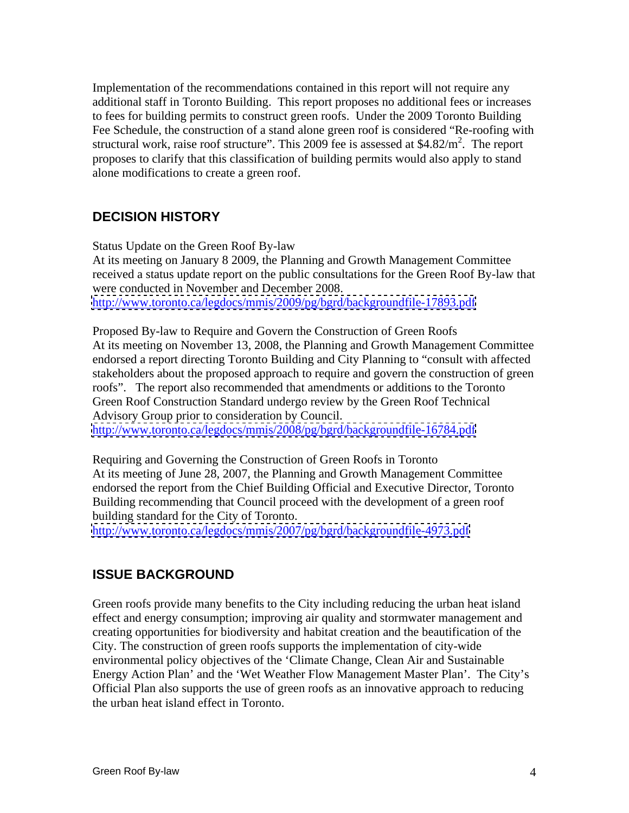Implementation of the recommendations contained in this report will not require any additional staff in Toronto Building. This report proposes no additional fees or increases to fees for building permits to construct green roofs. Under the 2009 Toronto Building Fee Schedule, the construction of a stand alone green roof is considered "Re-roofing with structural work, raise roof structure". This 2009 fee is assessed at  $$4.82/m<sup>2</sup>$ . The report . The report proposes to clarify that this classification of building permits would also apply to stand alone modifications to create a green roof.

# **DECISION HISTORY**

Status Update on the Green Roof By-law At its meeting on January 8 2009, the Planning and Growth Management Committee received a status update report on the public consultations for the Green Roof By-law that were conducted in November and December 2008. <http://www.toronto.ca/legdocs/mmis/2009/pg/bgrd/backgroundfile-17893.pdf>

Proposed By-law to Require and Govern the Construction of Green Roofs At its meeting on November 13, 2008, the Planning and Growth Management Committee endorsed a report directing Toronto Building and City Planning to "consult with affected stakeholders about the proposed approach to require and govern the construction of green roofs". The report also recommended that amendments or additions to the Toronto Green Roof Construction Standard undergo review by the Green Roof Technical Advisory Group prior to consideration by Council.

<http://www.toronto.ca/legdocs/mmis/2008/pg/bgrd/backgroundfile-16784.pdf>

Requiring and Governing the Construction of Green Roofs in Toronto At its meeting of June 28, 2007, the Planning and Growth Management Committee endorsed the report from the Chief Building Official and Executive Director, Toronto Building recommending that Council proceed with the development of a green roof building standard for the City of Toronto.

<http://www.toronto.ca/legdocs/mmis/2007/pg/bgrd/backgroundfile-4973.pdf>

# **ISSUE BACKGROUND**

Green roofs provide many benefits to the City including reducing the urban heat island effect and energy consumption; improving air quality and stormwater management and creating opportunities for biodiversity and habitat creation and the beautification of the City. The construction of green roofs supports the implementation of city-wide environmental policy objectives of the 'Climate Change, Clean Air and Sustainable Energy Action Plan' and the 'Wet Weather Flow Management Master Plan'. The City's Official Plan also supports the use of green roofs as an innovative approach to reducing the urban heat island effect in Toronto.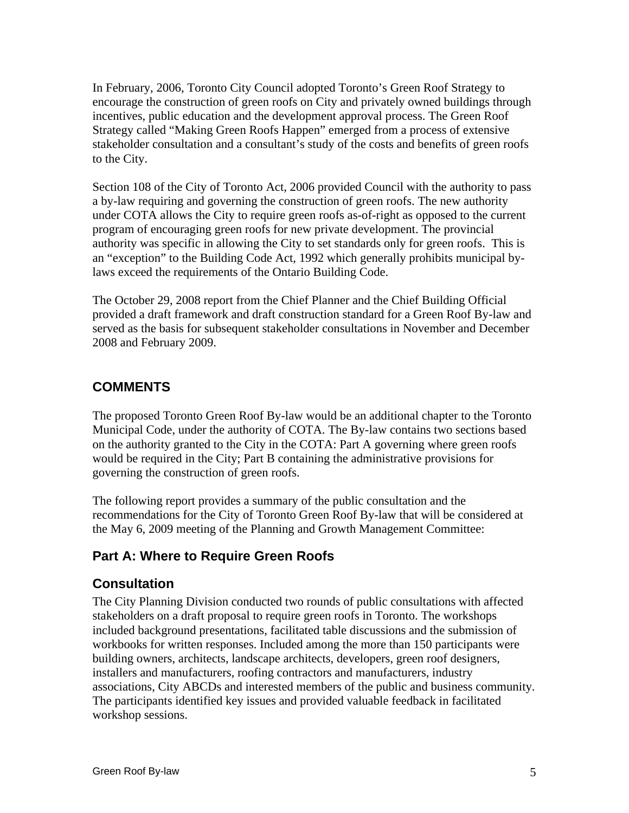In February, 2006, Toronto City Council adopted Toronto's Green Roof Strategy to encourage the construction of green roofs on City and privately owned buildings through incentives, public education and the development approval process. The Green Roof Strategy called "Making Green Roofs Happen" emerged from a process of extensive stakeholder consultation and a consultant's study of the costs and benefits of green roofs to the City.

Section 108 of the City of Toronto Act, 2006 provided Council with the authority to pass a by-law requiring and governing the construction of green roofs. The new authority under COTA allows the City to require green roofs as-of-right as opposed to the current program of encouraging green roofs for new private development. The provincial authority was specific in allowing the City to set standards only for green roofs. This is an "exception" to the Building Code Act, 1992 which generally prohibits municipal bylaws exceed the requirements of the Ontario Building Code.

The October 29, 2008 report from the Chief Planner and the Chief Building Official provided a draft framework and draft construction standard for a Green Roof By-law and served as the basis for subsequent stakeholder consultations in November and December 2008 and February 2009.

# **COMMENTS**

The proposed Toronto Green Roof By-law would be an additional chapter to the Toronto Municipal Code, under the authority of COTA. The By-law contains two sections based on the authority granted to the City in the COTA: Part A governing where green roofs would be required in the City; Part B containing the administrative provisions for governing the construction of green roofs.

The following report provides a summary of the public consultation and the recommendations for the City of Toronto Green Roof By-law that will be considered at the May 6, 2009 meeting of the Planning and Growth Management Committee:

# **Part A: Where to Require Green Roofs**

### **Consultation**

The City Planning Division conducted two rounds of public consultations with affected stakeholders on a draft proposal to require green roofs in Toronto. The workshops included background presentations, facilitated table discussions and the submission of workbooks for written responses. Included among the more than 150 participants were building owners, architects, landscape architects, developers, green roof designers, installers and manufacturers, roofing contractors and manufacturers, industry associations, City ABCDs and interested members of the public and business community. The participants identified key issues and provided valuable feedback in facilitated workshop sessions.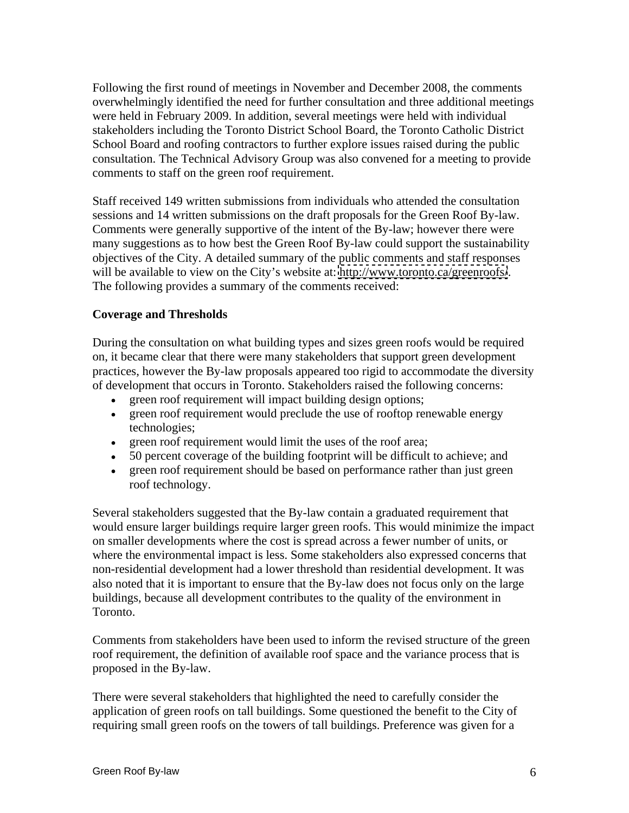Following the first round of meetings in November and December 2008, the comments overwhelmingly identified the need for further consultation and three additional meetings were held in February 2009. In addition, several meetings were held with individual stakeholders including the Toronto District School Board, the Toronto Catholic District School Board and roofing contractors to further explore issues raised during the public consultation. The Technical Advisory Group was also convened for a meeting to provide comments to staff on the green roof requirement.

Staff received 149 written submissions from individuals who attended the consultation sessions and 14 written submissions on the draft proposals for the Green Roof By-law. Comments were generally supportive of the intent of the By-law; however there were many suggestions as to how best the Green Roof By-law could support the sustainability objectives of the City. A detailed summary of the public comments and staff responses will be available to view on the City's website at:<http://www.toronto.ca/greenroofs/>.<br>The following provides a summary of the comments received:

#### **Coverage and Thresholds**

During the consultation on what building types and sizes green roofs would be required on, it became clear that there were many stakeholders that support green development practices, however the By-law proposals appeared too rigid to accommodate the diversity of development that occurs in Toronto. Stakeholders raised the following concerns:

- green roof requirement will impact building design options;
- green roof requirement would preclude the use of rooftop renewable energy technologies;
- green roof requirement would limit the uses of the roof area;
- 50 percent coverage of the building footprint will be difficult to achieve; and
- green roof requirement should be based on performance rather than just green roof technology.

Several stakeholders suggested that the By-law contain a graduated requirement that would ensure larger buildings require larger green roofs. This would minimize the impact on smaller developments where the cost is spread across a fewer number of units, or where the environmental impact is less. Some stakeholders also expressed concerns that non-residential development had a lower threshold than residential development. It was also noted that it is important to ensure that the By-law does not focus only on the large buildings, because all development contributes to the quality of the environment in Toronto.

Comments from stakeholders have been used to inform the revised structure of the green roof requirement, the definition of available roof space and the variance process that is proposed in the By-law.

There were several stakeholders that highlighted the need to carefully consider the application of green roofs on tall buildings. Some questioned the benefit to the City of requiring small green roofs on the towers of tall buildings. Preference was given for a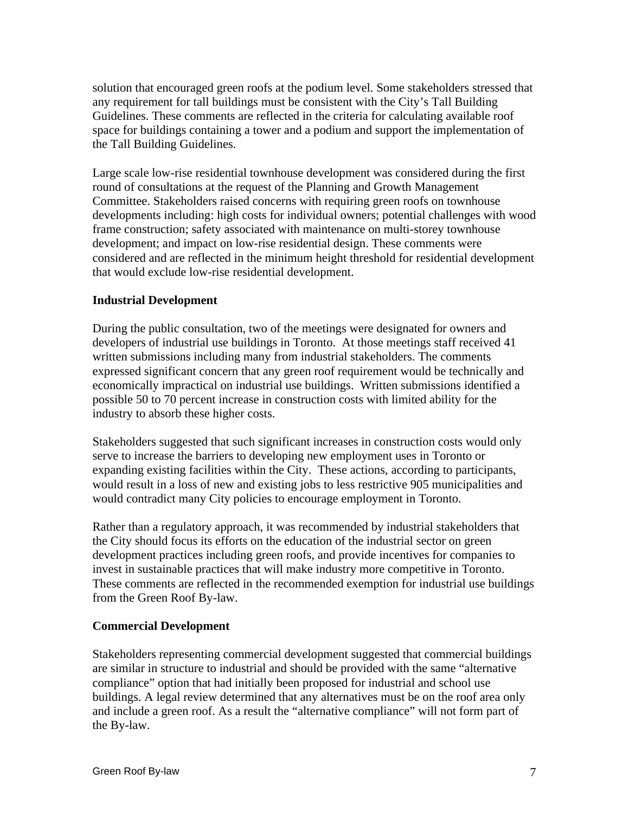solution that encouraged green roofs at the podium level. Some stakeholders stressed that any requirement for tall buildings must be consistent with the City's Tall Building Guidelines. These comments are reflected in the criteria for calculating available roof space for buildings containing a tower and a podium and support the implementation of the Tall Building Guidelines.

Large scale low-rise residential townhouse development was considered during the first round of consultations at the request of the Planning and Growth Management Committee. Stakeholders raised concerns with requiring green roofs on townhouse developments including: high costs for individual owners; potential challenges with wood frame construction; safety associated with maintenance on multi-storey townhouse development; and impact on low-rise residential design. These comments were considered and are reflected in the minimum height threshold for residential development that would exclude low-rise residential development.

### **Industrial Development**

During the public consultation, two of the meetings were designated for owners and developers of industrial use buildings in Toronto. At those meetings staff received 41 written submissions including many from industrial stakeholders. The comments expressed significant concern that any green roof requirement would be technically and economically impractical on industrial use buildings. Written submissions identified a possible 50 to 70 percent increase in construction costs with limited ability for the industry to absorb these higher costs.

Stakeholders suggested that such significant increases in construction costs would only serve to increase the barriers to developing new employment uses in Toronto or expanding existing facilities within the City. These actions, according to participants, would result in a loss of new and existing jobs to less restrictive 905 municipalities and would contradict many City policies to encourage employment in Toronto.

Rather than a regulatory approach, it was recommended by industrial stakeholders that the City should focus its efforts on the education of the industrial sector on green development practices including green roofs, and provide incentives for companies to invest in sustainable practices that will make industry more competitive in Toronto. These comments are reflected in the recommended exemption for industrial use buildings from the Green Roof By-law.

#### **Commercial Development**

Stakeholders representing commercial development suggested that commercial buildings are similar in structure to industrial and should be provided with the same "alternative compliance" option that had initially been proposed for industrial and school use buildings. A legal review determined that any alternatives must be on the roof area only and include a green roof. As a result the "alternative compliance" will not form part of the By-law.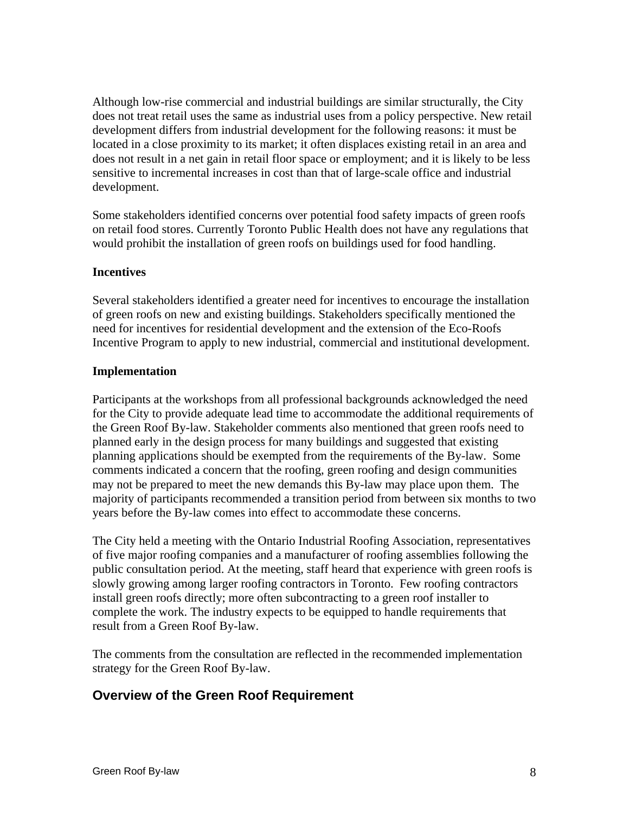Although low-rise commercial and industrial buildings are similar structurally, the City does not treat retail uses the same as industrial uses from a policy perspective. New retail development differs from industrial development for the following reasons: it must be located in a close proximity to its market; it often displaces existing retail in an area and does not result in a net gain in retail floor space or employment; and it is likely to be less sensitive to incremental increases in cost than that of large-scale office and industrial development.

Some stakeholders identified concerns over potential food safety impacts of green roofs on retail food stores. Currently Toronto Public Health does not have any regulations that would prohibit the installation of green roofs on buildings used for food handling.

#### **Incentives**

Several stakeholders identified a greater need for incentives to encourage the installation of green roofs on new and existing buildings. Stakeholders specifically mentioned the need for incentives for residential development and the extension of the Eco-Roofs Incentive Program to apply to new industrial, commercial and institutional development.

#### **Implementation**

Participants at the workshops from all professional backgrounds acknowledged the need for the City to provide adequate lead time to accommodate the additional requirements of the Green Roof By-law. Stakeholder comments also mentioned that green roofs need to planned early in the design process for many buildings and suggested that existing planning applications should be exempted from the requirements of the By-law. Some comments indicated a concern that the roofing, green roofing and design communities may not be prepared to meet the new demands this By-law may place upon them. The majority of participants recommended a transition period from between six months to two years before the By-law comes into effect to accommodate these concerns.

The City held a meeting with the Ontario Industrial Roofing Association, representatives of five major roofing companies and a manufacturer of roofing assemblies following the public consultation period. At the meeting, staff heard that experience with green roofs is slowly growing among larger roofing contractors in Toronto. Few roofing contractors install green roofs directly; more often subcontracting to a green roof installer to complete the work. The industry expects to be equipped to handle requirements that result from a Green Roof By-law.

The comments from the consultation are reflected in the recommended implementation strategy for the Green Roof By-law.

### **Overview of the Green Roof Requirement**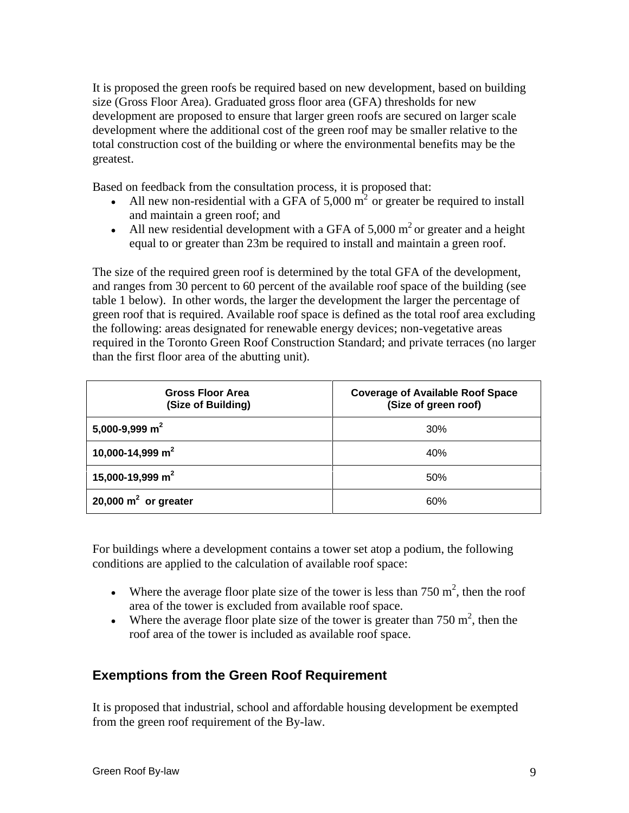It is proposed the green roofs be required based on new development, based on building size (Gross Floor Area). Graduated gross floor area (GFA) thresholds for new development are proposed to ensure that larger green roofs are secured on larger scale development where the additional cost of the green roof may be smaller relative to the total construction cost of the building or where the environmental benefits may be the greatest.

Based on feedback from the consultation process, it is proposed that:

- All new non-residential with a GFA of 5,000  $m<sup>2</sup>$  or greater be required to install and maintain a green roof; and
- All new residential development with a GFA of 5,000  $m<sup>2</sup>$  or greater and a height equal to or greater than 23m be required to install and maintain a green roof.

The size of the required green roof is determined by the total GFA of the development, and ranges from 30 percent to 60 percent of the available roof space of the building (see table 1 below). In other words, the larger the development the larger the percentage of green roof that is required. Available roof space is defined as the total roof area excluding the following: areas designated for renewable energy devices; non-vegetative areas required in the Toronto Green Roof Construction Standard; and private terraces (no larger than the first floor area of the abutting unit).

| Gross Floor Area<br>(Size of Building)    | Coverage of Available Roof Space<br>(Size of green roof) |
|-------------------------------------------|----------------------------------------------------------|
| $  5,000-9,999$ m <sup>2</sup>            |                                                          |
| 10,000-14,999 m <sup>2</sup>              |                                                          |
| 15,000-19,999 m <sup>2</sup>              |                                                          |
| $ 20,000 \text{ m}^2 \text{ or greater} $ |                                                          |

For buildings where a development contains a tower set atop a podium, the following conditions are applied to the calculation of available roof space:

- Where the average floor plate size of the tower is less than  $750 \text{ m}^2$ , then the roof area of the tower is excluded from available roof space.
- Where the average floor plate size of the tower is greater than  $750 \text{ m}^2$ , then the , then the roof area of the tower is included as available roof space.

# **Exemptions from the Green Roof Requirement**

It is proposed that industrial, school and affordable housing development be exempted from the green roof requirement of the By-law.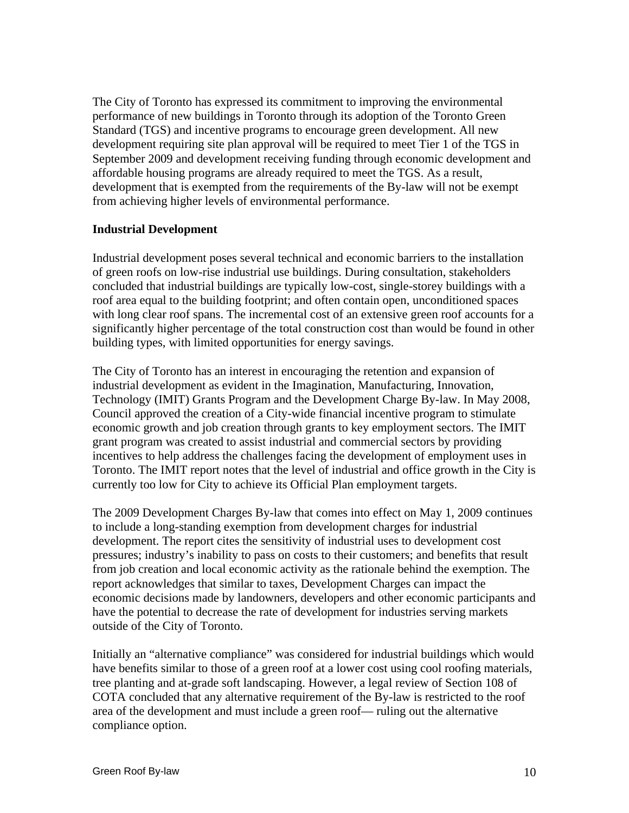The City of Toronto has expressed its commitment to improving the environmental performance of new buildings in Toronto through its adoption of the Toronto Green Standard (TGS) and incentive programs to encourage green development. All new development requiring site plan approval will be required to meet Tier 1 of the TGS in September 2009 and development receiving funding through economic development and affordable housing programs are already required to meet the TGS. As a result, development that is exempted from the requirements of the By-law will not be exempt from achieving higher levels of environmental performance.

#### **Industrial Development**

Industrial development poses several technical and economic barriers to the installation of green roofs on low-rise industrial use buildings. During consultation, stakeholders concluded that industrial buildings are typically low-cost, single-storey buildings with a roof area equal to the building footprint; and often contain open, unconditioned spaces with long clear roof spans. The incremental cost of an extensive green roof accounts for a significantly higher percentage of the total construction cost than would be found in other building types, with limited opportunities for energy savings.

The City of Toronto has an interest in encouraging the retention and expansion of industrial development as evident in the Imagination, Manufacturing, Innovation, Technology (IMIT) Grants Program and the Development Charge By-law. In May 2008, Council approved the creation of a City-wide financial incentive program to stimulate economic growth and job creation through grants to key employment sectors. The IMIT grant program was created to assist industrial and commercial sectors by providing incentives to help address the challenges facing the development of employment uses in Toronto. The IMIT report notes that the level of industrial and office growth in the City is currently too low for City to achieve its Official Plan employment targets.

The 2009 Development Charges By-law that comes into effect on May 1, 2009 continues to include a long-standing exemption from development charges for industrial development. The report cites the sensitivity of industrial uses to development cost pressures; industry's inability to pass on costs to their customers; and benefits that result from job creation and local economic activity as the rationale behind the exemption. The report acknowledges that similar to taxes, Development Charges can impact the economic decisions made by landowners, developers and other economic participants and have the potential to decrease the rate of development for industries serving markets outside of the City of Toronto.

Initially an "alternative compliance" was considered for industrial buildings which would have benefits similar to those of a green roof at a lower cost using cool roofing materials, tree planting and at-grade soft landscaping. However, a legal review of Section 108 of COTA concluded that any alternative requirement of the By-law is restricted to the roof area of the development and must include a green roof— ruling out the alternative compliance option.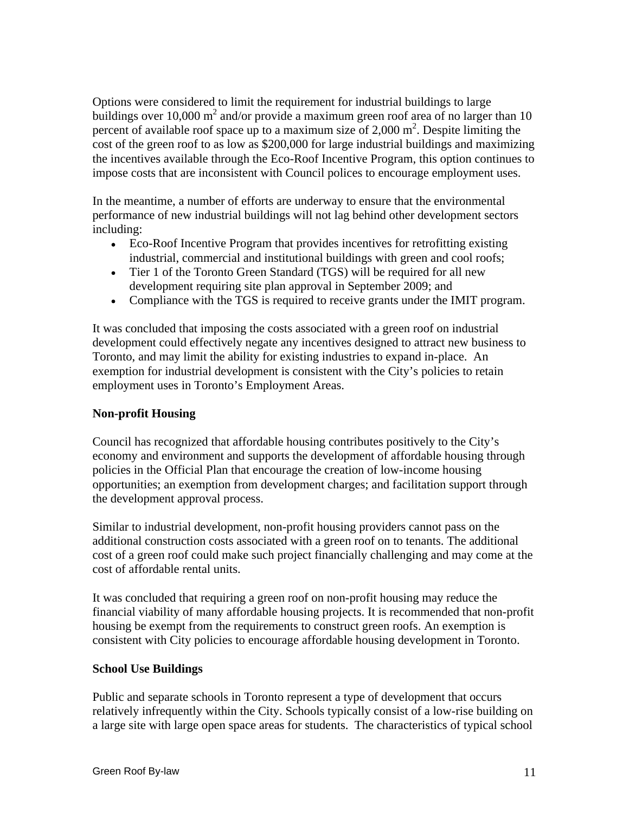Options were considered to limit the requirement for industrial buildings to large buildings over 10,000 m<sup>2</sup> and/or provide a maximum green roof area of no larger than 10 percent of available roof space up to a maximum size of 2,000  $m^2$ . Despite limiting the cost of the green roof to as low as \$200,000 for large industrial buildings and maximizing the incentives available through the Eco-Roof Incentive Program, this option continues to impose costs that are inconsistent with Council polices to encourage employment uses.

In the meantime, a number of efforts are underway to ensure that the environmental performance of new industrial buildings will not lag behind other development sectors including:

- Eco-Roof Incentive Program that provides incentives for retrofitting existing industrial, commercial and institutional buildings with green and cool roofs;
- Tier 1 of the Toronto Green Standard (TGS) will be required for all new development requiring site plan approval in September 2009; and
- Compliance with the TGS is required to receive grants under the IMIT program.

It was concluded that imposing the costs associated with a green roof on industrial development could effectively negate any incentives designed to attract new business to Toronto, and may limit the ability for existing industries to expand in-place. An exemption for industrial development is consistent with the City's policies to retain employment uses in Toronto's Employment Areas.

### **Non-profit Housing**

Council has recognized that affordable housing contributes positively to the City's economy and environment and supports the development of affordable housing through policies in the Official Plan that encourage the creation of low-income housing opportunities; an exemption from development charges; and facilitation support through the development approval process.

Similar to industrial development, non-profit housing providers cannot pass on the additional construction costs associated with a green roof on to tenants. The additional cost of a green roof could make such project financially challenging and may come at the cost of affordable rental units.

It was concluded that requiring a green roof on non-profit housing may reduce the financial viability of many affordable housing projects. It is recommended that non-profit housing be exempt from the requirements to construct green roofs. An exemption is consistent with City policies to encourage affordable housing development in Toronto.

### **School Use Buildings**

Public and separate schools in Toronto represent a type of development that occurs relatively infrequently within the City. Schools typically consist of a low-rise building on a large site with large open space areas for students. The characteristics of typical school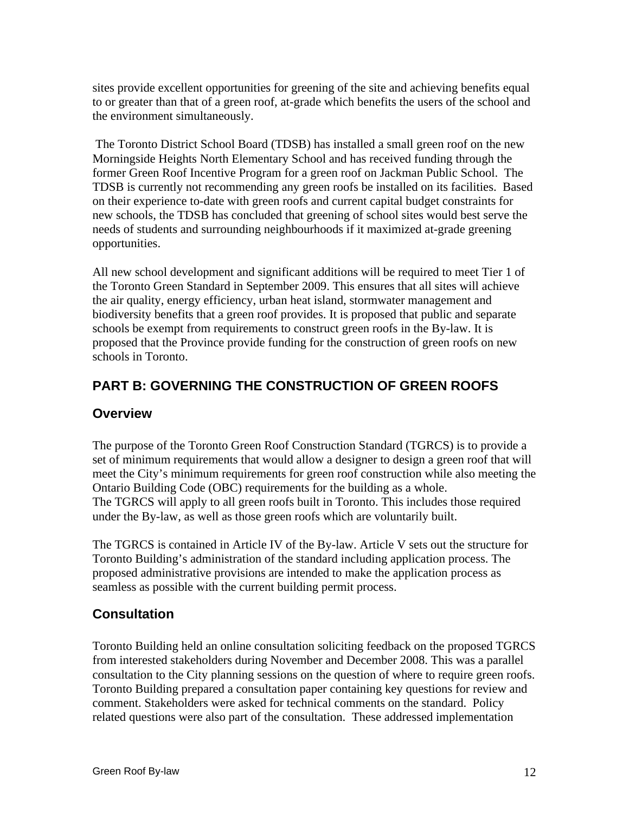sites provide excellent opportunities for greening of the site and achieving benefits equal to or greater than that of a green roof, at-grade which benefits the users of the school and the environment simultaneously.

 The Toronto District School Board (TDSB) has installed a small green roof on the new Morningside Heights North Elementary School and has received funding through the former Green Roof Incentive Program for a green roof on Jackman Public School. The TDSB is currently not recommending any green roofs be installed on its facilities. Based on their experience to-date with green roofs and current capital budget constraints for new schools, the TDSB has concluded that greening of school sites would best serve the needs of students and surrounding neighbourhoods if it maximized at-grade greening opportunities.

All new school development and significant additions will be required to meet Tier 1 of the Toronto Green Standard in September 2009. This ensures that all sites will achieve the air quality, energy efficiency, urban heat island, stormwater management and biodiversity benefits that a green roof provides. It is proposed that public and separate schools be exempt from requirements to construct green roofs in the By-law. It is proposed that the Province provide funding for the construction of green roofs on new schools in Toronto.

# **PART B: GOVERNING THE CONSTRUCTION OF GREEN ROOFS**

### **Overview**

The purpose of the Toronto Green Roof Construction Standard (TGRCS) is to provide a set of minimum requirements that would allow a designer to design a green roof that will meet the City's minimum requirements for green roof construction while also meeting the Ontario Building Code (OBC) requirements for the building as a whole. The TGRCS will apply to all green roofs built in Toronto. This includes those required under the By-law, as well as those green roofs which are voluntarily built.

The TGRCS is contained in Article IV of the By-law. Article V sets out the structure for Toronto Building's administration of the standard including application process. The proposed administrative provisions are intended to make the application process as seamless as possible with the current building permit process.

# **Consultation**

Toronto Building held an online consultation soliciting feedback on the proposed TGRCS from interested stakeholders during November and December 2008. This was a parallel consultation to the City planning sessions on the question of where to require green roofs. Toronto Building prepared a consultation paper containing key questions for review and comment. Stakeholders were asked for technical comments on the standard. Policy related questions were also part of the consultation. These addressed implementation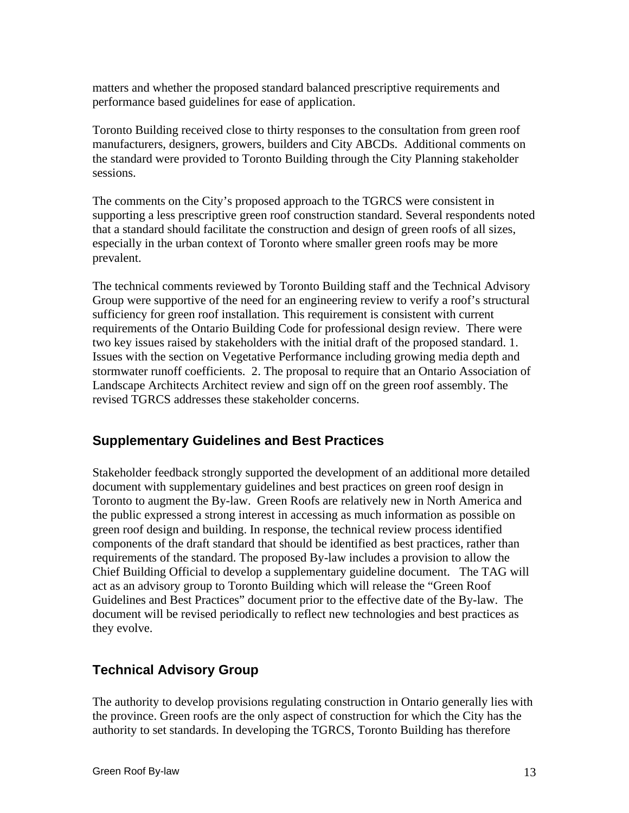matters and whether the proposed standard balanced prescriptive requirements and performance based guidelines for ease of application.

Toronto Building received close to thirty responses to the consultation from green roof manufacturers, designers, growers, builders and City ABCDs. Additional comments on the standard were provided to Toronto Building through the City Planning stakeholder sessions.

The comments on the City's proposed approach to the TGRCS were consistent in supporting a less prescriptive green roof construction standard. Several respondents noted that a standard should facilitate the construction and design of green roofs of all sizes, especially in the urban context of Toronto where smaller green roofs may be more prevalent.

The technical comments reviewed by Toronto Building staff and the Technical Advisory Group were supportive of the need for an engineering review to verify a roof's structural sufficiency for green roof installation. This requirement is consistent with current requirements of the Ontario Building Code for professional design review. There were two key issues raised by stakeholders with the initial draft of the proposed standard. 1. Issues with the section on Vegetative Performance including growing media depth and stormwater runoff coefficients. 2. The proposal to require that an Ontario Association of Landscape Architects Architect review and sign off on the green roof assembly. The revised TGRCS addresses these stakeholder concerns.

### **Supplementary Guidelines and Best Practices**

Stakeholder feedback strongly supported the development of an additional more detailed document with supplementary guidelines and best practices on green roof design in Toronto to augment the By-law. Green Roofs are relatively new in North America and the public expressed a strong interest in accessing as much information as possible on green roof design and building. In response, the technical review process identified components of the draft standard that should be identified as best practices, rather than requirements of the standard. The proposed By-law includes a provision to allow the Chief Building Official to develop a supplementary guideline document. The TAG will act as an advisory group to Toronto Building which will release the "Green Roof Guidelines and Best Practices" document prior to the effective date of the By-law. The document will be revised periodically to reflect new technologies and best practices as they evolve.

# **Technical Advisory Group**

The authority to develop provisions regulating construction in Ontario generally lies with the province. Green roofs are the only aspect of construction for which the City has the authority to set standards. In developing the TGRCS, Toronto Building has therefore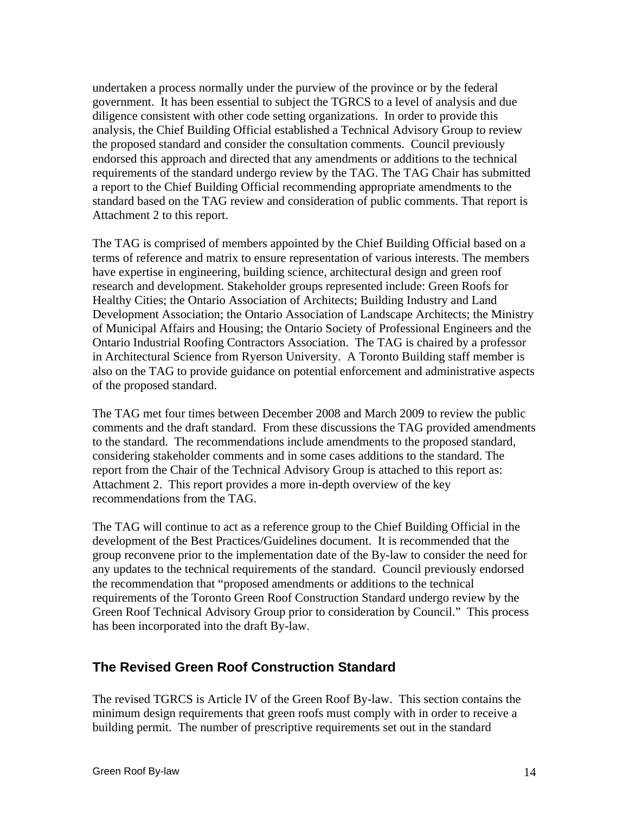undertaken a process normally under the purview of the province or by the federal government. It has been essential to subject the TGRCS to a level of analysis and due diligence consistent with other code setting organizations. In order to provide this analysis, the Chief Building Official established a Technical Advisory Group to review the proposed standard and consider the consultation comments. Council previously endorsed this approach and directed that any amendments or additions to the technical requirements of the standard undergo review by the TAG. The TAG Chair has submitted a report to the Chief Building Official recommending appropriate amendments to the standard based on the TAG review and consideration of public comments. That report is Attachment 2 to this report.

The TAG is comprised of members appointed by the Chief Building Official based on a terms of reference and matrix to ensure representation of various interests. The members have expertise in engineering, building science, architectural design and green roof research and development. Stakeholder groups represented include: Green Roofs for Healthy Cities; the Ontario Association of Architects; Building Industry and Land Development Association; the Ontario Association of Landscape Architects; the Ministry of Municipal Affairs and Housing; the Ontario Society of Professional Engineers and the Ontario Industrial Roofing Contractors Association. The TAG is chaired by a professor in Architectural Science from Ryerson University. A Toronto Building staff member is also on the TAG to provide guidance on potential enforcement and administrative aspects of the proposed standard.

The TAG met four times between December 2008 and March 2009 to review the public comments and the draft standard. From these discussions the TAG provided amendments to the standard. The recommendations include amendments to the proposed standard, considering stakeholder comments and in some cases additions to the standard. The report from the Chair of the Technical Advisory Group is attached to this report as: Attachment 2. This report provides a more in-depth overview of the key recommendations from the TAG.

The TAG will continue to act as a reference group to the Chief Building Official in the development of the Best Practices/Guidelines document. It is recommended that the group reconvene prior to the implementation date of the By-law to consider the need for any updates to the technical requirements of the standard. Council previously endorsed the recommendation that "proposed amendments or additions to the technical requirements of the Toronto Green Roof Construction Standard undergo review by the Green Roof Technical Advisory Group prior to consideration by Council." This process has been incorporated into the draft By-law.

### **The Revised Green Roof Construction Standard**

The revised TGRCS is Article IV of the Green Roof By-law. This section contains the minimum design requirements that green roofs must comply with in order to receive a building permit. The number of prescriptive requirements set out in the standard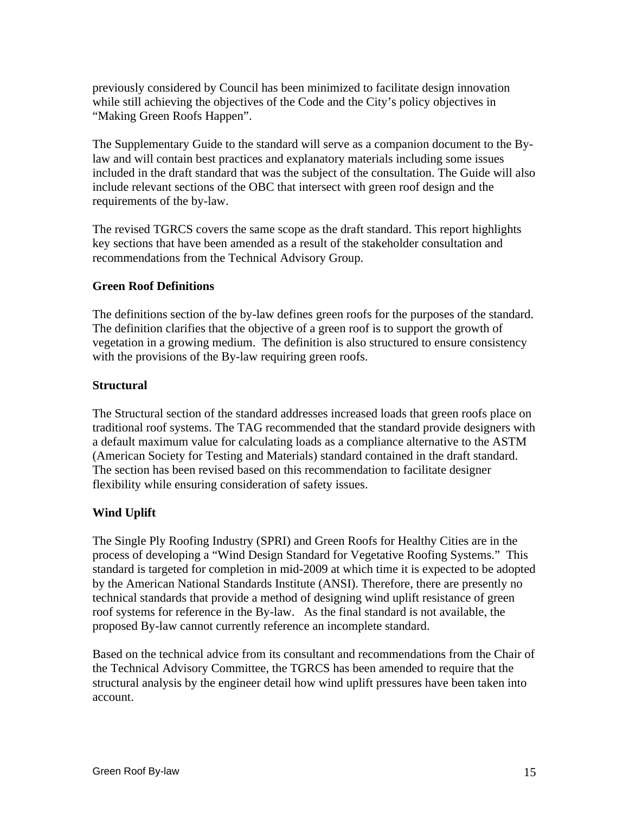previously considered by Council has been minimized to facilitate design innovation while still achieving the objectives of the Code and the City's policy objectives in "Making Green Roofs Happen".

The Supplementary Guide to the standard will serve as a companion document to the Bylaw and will contain best practices and explanatory materials including some issues included in the draft standard that was the subject of the consultation. The Guide will also include relevant sections of the OBC that intersect with green roof design and the requirements of the by-law.

The revised TGRCS covers the same scope as the draft standard. This report highlights key sections that have been amended as a result of the stakeholder consultation and recommendations from the Technical Advisory Group.

### **Green Roof Definitions**

The definitions section of the by-law defines green roofs for the purposes of the standard. The definition clarifies that the objective of a green roof is to support the growth of vegetation in a growing medium. The definition is also structured to ensure consistency with the provisions of the By-law requiring green roofs.

### **Structural**

The Structural section of the standard addresses increased loads that green roofs place on traditional roof systems. The TAG recommended that the standard provide designers with a default maximum value for calculating loads as a compliance alternative to the ASTM (American Society for Testing and Materials) standard contained in the draft standard. The section has been revised based on this recommendation to facilitate designer flexibility while ensuring consideration of safety issues.

### **Wind Uplift**

The Single Ply Roofing Industry (SPRI) and Green Roofs for Healthy Cities are in the process of developing a "Wind Design Standard for Vegetative Roofing Systems." This standard is targeted for completion in mid-2009 at which time it is expected to be adopted by the American National Standards Institute (ANSI). Therefore, there are presently no technical standards that provide a method of designing wind uplift resistance of green roof systems for reference in the By-law. As the final standard is not available, the proposed By-law cannot currently reference an incomplete standard.

Based on the technical advice from its consultant and recommendations from the Chair of the Technical Advisory Committee, the TGRCS has been amended to require that the structural analysis by the engineer detail how wind uplift pressures have been taken into account.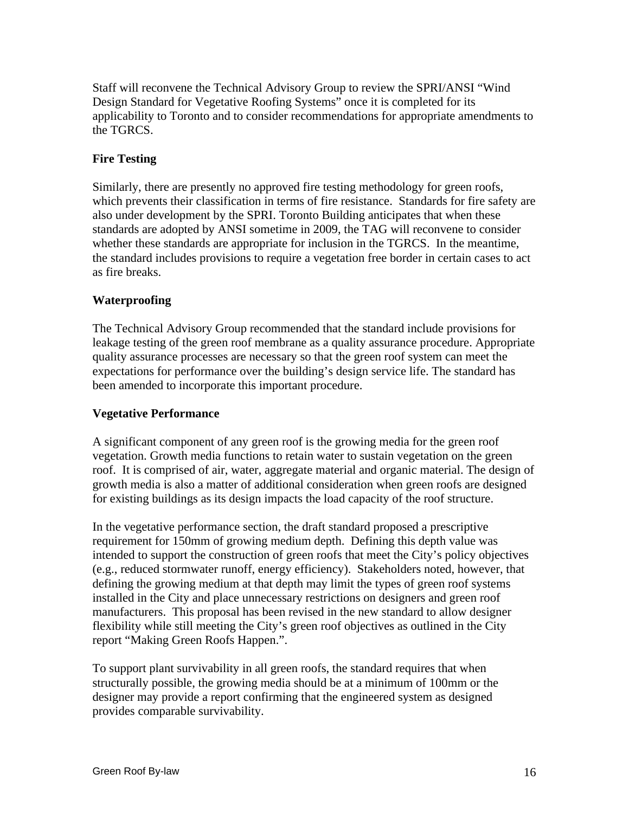Staff will reconvene the Technical Advisory Group to review the SPRI/ANSI "Wind Design Standard for Vegetative Roofing Systems" once it is completed for its applicability to Toronto and to consider recommendations for appropriate amendments to the TGRCS.

### **Fire Testing**

Similarly, there are presently no approved fire testing methodology for green roofs, which prevents their classification in terms of fire resistance. Standards for fire safety are also under development by the SPRI. Toronto Building anticipates that when these standards are adopted by ANSI sometime in 2009, the TAG will reconvene to consider whether these standards are appropriate for inclusion in the TGRCS. In the meantime, the standard includes provisions to require a vegetation free border in certain cases to act as fire breaks.

### **Waterproofing**

The Technical Advisory Group recommended that the standard include provisions for leakage testing of the green roof membrane as a quality assurance procedure. Appropriate quality assurance processes are necessary so that the green roof system can meet the expectations for performance over the building's design service life. The standard has been amended to incorporate this important procedure.

### **Vegetative Performance**

A significant component of any green roof is the growing media for the green roof vegetation. Growth media functions to retain water to sustain vegetation on the green roof. It is comprised of air, water, aggregate material and organic material. The design of growth media is also a matter of additional consideration when green roofs are designed for existing buildings as its design impacts the load capacity of the roof structure.

In the vegetative performance section, the draft standard proposed a prescriptive requirement for 150mm of growing medium depth. Defining this depth value was intended to support the construction of green roofs that meet the City's policy objectives (e.g., reduced stormwater runoff, energy efficiency). Stakeholders noted, however, that defining the growing medium at that depth may limit the types of green roof systems installed in the City and place unnecessary restrictions on designers and green roof manufacturers. This proposal has been revised in the new standard to allow designer flexibility while still meeting the City's green roof objectives as outlined in the City report "Making Green Roofs Happen.".

To support plant survivability in all green roofs, the standard requires that when structurally possible, the growing media should be at a minimum of 100mm or the designer may provide a report confirming that the engineered system as designed provides comparable survivability.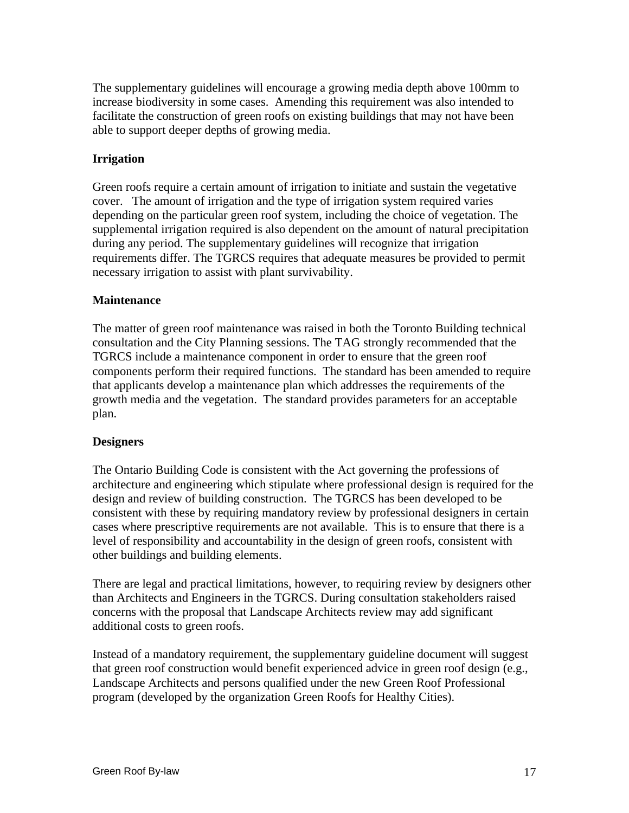The supplementary guidelines will encourage a growing media depth above 100mm to increase biodiversity in some cases. Amending this requirement was also intended to facilitate the construction of green roofs on existing buildings that may not have been able to support deeper depths of growing media.

### **Irrigation**

Green roofs require a certain amount of irrigation to initiate and sustain the vegetative cover. The amount of irrigation and the type of irrigation system required varies depending on the particular green roof system, including the choice of vegetation. The supplemental irrigation required is also dependent on the amount of natural precipitation during any period. The supplementary guidelines will recognize that irrigation requirements differ. The TGRCS requires that adequate measures be provided to permit necessary irrigation to assist with plant survivability.

### **Maintenance**

The matter of green roof maintenance was raised in both the Toronto Building technical consultation and the City Planning sessions. The TAG strongly recommended that the TGRCS include a maintenance component in order to ensure that the green roof components perform their required functions. The standard has been amended to require that applicants develop a maintenance plan which addresses the requirements of the growth media and the vegetation. The standard provides parameters for an acceptable plan. The contract of the contract of the contract of the contract of the contract of the contract of the contract of the contract of the contract of the contract of the contract of the contract of the contract of the cont

### **Designers**

The Ontario Building Code is consistent with the Act governing the professions of architecture and engineering which stipulate where professional design is required for the design and review of building construction. The TGRCS has been developed to be consistent with these by requiring mandatory review by professional designers in certain cases where prescriptive requirements are not available. This is to ensure that there is a level of responsibility and accountability in the design of green roofs, consistent with other buildings and building elements.

There are legal and practical limitations, however, to requiring review by designers other than Architects and Engineers in the TGRCS. During consultation stakeholders raised concerns with the proposal that Landscape Architects review may add significant additional costs to green roofs.

Instead of a mandatory requirement, the supplementary guideline document will suggest that green roof construction would benefit experienced advice in green roof design (e.g., Landscape Architects and persons qualified under the new Green Roof Professional program (developed by the organization Green Roofs for Healthy Cities).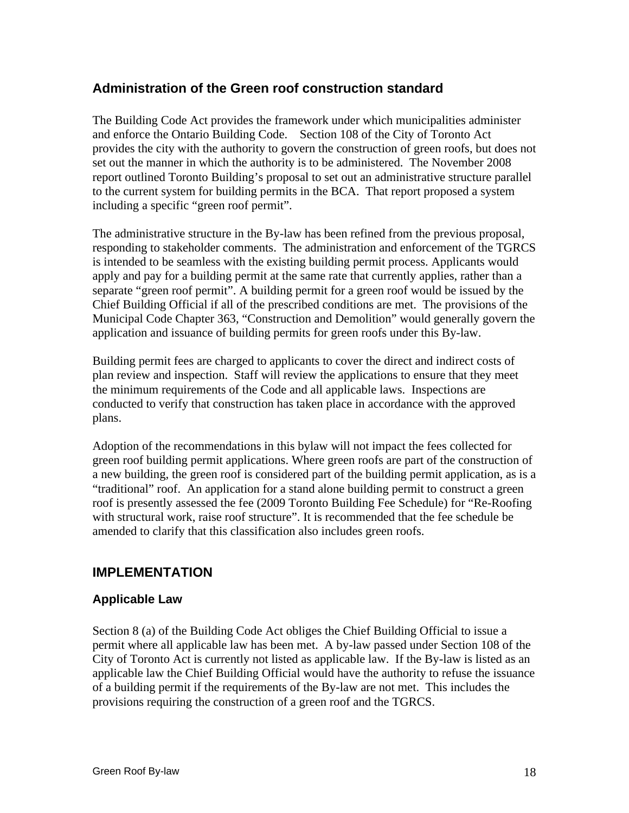# **Administration of the Green roof construction standard**

The Building Code Act provides the framework under which municipalities administer and enforce the Ontario Building Code. Section 108 of the City of Toronto Act provides the city with the authority to govern the construction of green roofs, but does not set out the manner in which the authority is to be administered. The November 2008 report outlined Toronto Building's proposal to set out an administrative structure parallel to the current system for building permits in the BCA. That report proposed a system including a specific "green roof permit".

The administrative structure in the By-law has been refined from the previous proposal, responding to stakeholder comments. The administration and enforcement of the TGRCS is intended to be seamless with the existing building permit process. Applicants would apply and pay for a building permit at the same rate that currently applies, rather than a separate "green roof permit". A building permit for a green roof would be issued by the Chief Building Official if all of the prescribed conditions are met. The provisions of the Municipal Code Chapter 363, "Construction and Demolition" would generally govern the application and issuance of building permits for green roofs under this By-law.

Building permit fees are charged to applicants to cover the direct and indirect costs of plan review and inspection. Staff will review the applications to ensure that they meet the minimum requirements of the Code and all applicable laws. Inspections are conducted to verify that construction has taken place in accordance with the approved plans.

Adoption of the recommendations in this bylaw will not impact the fees collected for green roof building permit applications. Where green roofs are part of the construction of a new building, the green roof is considered part of the building permit application, as is a "traditional" roof. An application for a stand alone building permit to construct a green roof is presently assessed the fee (2009 Toronto Building Fee Schedule) for "Re-Roofing with structural work, raise roof structure". It is recommended that the fee schedule be amended to clarify that this classification also includes green roofs.

# **IMPLEMENTATION**

### **Applicable Law**

Section 8 (a) of the Building Code Act obliges the Chief Building Official to issue a permit where all applicable law has been met. A by-law passed under Section 108 of the City of Toronto Act is currently not listed as applicable law. If the By-law is listed as an applicable law the Chief Building Official would have the authority to refuse the issuance of a building permit if the requirements of the By-law are not met. This includes the provisions requiring the construction of a green roof and the TGRCS.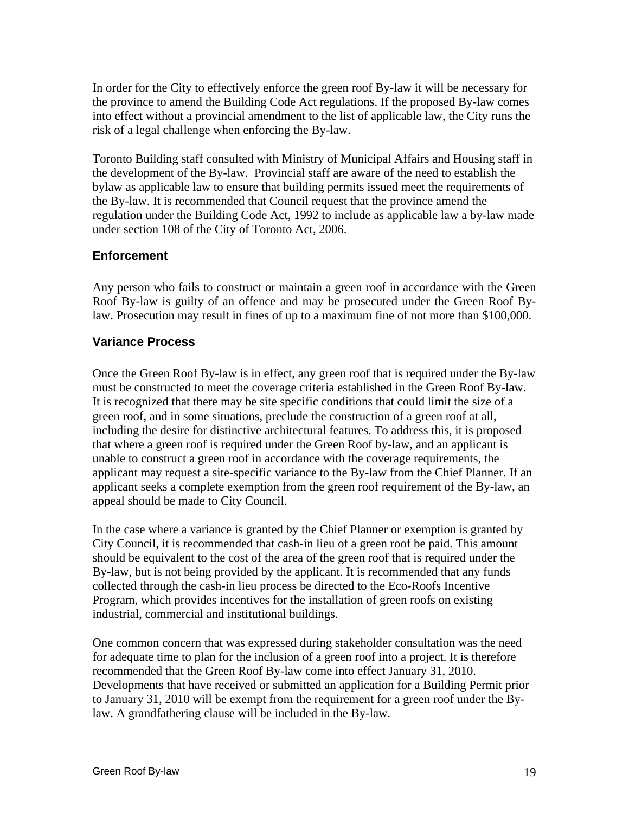In order for the City to effectively enforce the green roof By-law it will be necessary for the province to amend the Building Code Act regulations. If the proposed By-law comes into effect without a provincial amendment to the list of applicable law, the City runs the risk of a legal challenge when enforcing the By-law.

Toronto Building staff consulted with Ministry of Municipal Affairs and Housing staff in the development of the By-law. Provincial staff are aware of the need to establish the bylaw as applicable law to ensure that building permits issued meet the requirements of the By-law. It is recommended that Council request that the province amend the regulation under the Building Code Act, 1992 to include as applicable law a by-law made under section 108 of the City of Toronto Act, 2006.

### **Enforcement**

Any person who fails to construct or maintain a green roof in accordance with the Green Roof By-law is guilty of an offence and may be prosecuted under the Green Roof Bylaw. Prosecution may result in fines of up to a maximum fine of not more than \$100,000.

### **Variance Process**

Once the Green Roof By-law is in effect, any green roof that is required under the By-law must be constructed to meet the coverage criteria established in the Green Roof By-law. It is recognized that there may be site specific conditions that could limit the size of a green roof, and in some situations, preclude the construction of a green roof at all, including the desire for distinctive architectural features. To address this, it is proposed that where a green roof is required under the Green Roof by-law, and an applicant is unable to construct a green roof in accordance with the coverage requirements, the applicant may request a site-specific variance to the By-law from the Chief Planner. If an applicant seeks a complete exemption from the green roof requirement of the By-law, an appeal should be made to City Council.

In the case where a variance is granted by the Chief Planner or exemption is granted by City Council, it is recommended that cash-in lieu of a green roof be paid. This amount should be equivalent to the cost of the area of the green roof that is required under the By-law, but is not being provided by the applicant. It is recommended that any funds collected through the cash-in lieu process be directed to the Eco-Roofs Incentive Program, which provides incentives for the installation of green roofs on existing industrial, commercial and institutional buildings.

One common concern that was expressed during stakeholder consultation was the need for adequate time to plan for the inclusion of a green roof into a project. It is therefore recommended that the Green Roof By-law come into effect January 31, 2010. Developments that have received or submitted an application for a Building Permit prior to January 31, 2010 will be exempt from the requirement for a green roof under the Bylaw. A grandfathering clause will be included in the By-law.